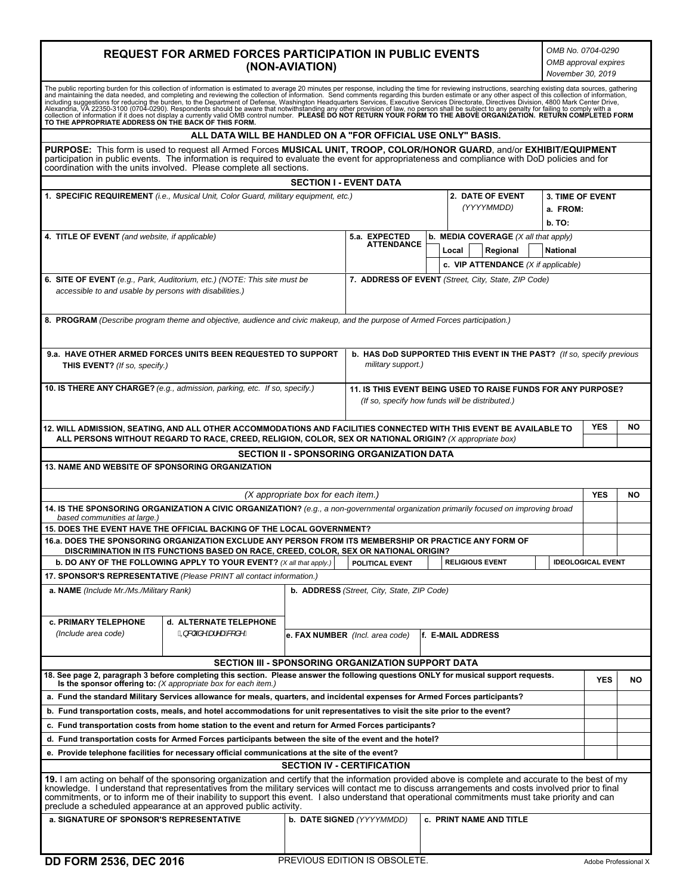# **REQUEST FOR ARMED FORCES PARTICIPATION IN PUBLIC EVENTS (NON-AVIATION)**

*OMB No. 0704-0290 OMB approval expires November 30, 2019*

| The public reporting burden for this collection of information is estimated to average 20 minutes per response, including the time for reviewing instructions, searching existing data sources, gathering<br>and maintaining the |                                                                                                                                                                                                                                                                                                                                                                                                                                                                                                                                 |                                                                                                                 |                                                     |       |                                                |                                       |                         |                          |           |  |
|----------------------------------------------------------------------------------------------------------------------------------------------------------------------------------------------------------------------------------|---------------------------------------------------------------------------------------------------------------------------------------------------------------------------------------------------------------------------------------------------------------------------------------------------------------------------------------------------------------------------------------------------------------------------------------------------------------------------------------------------------------------------------|-----------------------------------------------------------------------------------------------------------------|-----------------------------------------------------|-------|------------------------------------------------|---------------------------------------|-------------------------|--------------------------|-----------|--|
| ALL DATA WILL BE HANDLED ON A "FOR OFFICIAL USE ONLY" BASIS.                                                                                                                                                                     |                                                                                                                                                                                                                                                                                                                                                                                                                                                                                                                                 |                                                                                                                 |                                                     |       |                                                |                                       |                         |                          |           |  |
|                                                                                                                                                                                                                                  | PURPOSE: This form is used to request all Armed Forces MUSICAL UNIT, TROOP, COLOR/HONOR GUARD, and/or EXHIBIT/EQUIPMENT<br>participation in public events. The information is required to evaluate the event for appropriateness and compliance with DoD policies and for<br>coordination with the units involved. Please complete all sections.                                                                                                                                                                                |                                                                                                                 |                                                     |       |                                                |                                       |                         |                          |           |  |
| <b>SECTION I - EVENT DATA</b>                                                                                                                                                                                                    |                                                                                                                                                                                                                                                                                                                                                                                                                                                                                                                                 |                                                                                                                 |                                                     |       |                                                |                                       |                         |                          |           |  |
| 1. SPECIFIC REQUIREMENT (i.e., Musical Unit, Color Guard, military equipment, etc.)<br>2. DATE OF EVENT<br>(YYYYMMDD)<br>b. TO:                                                                                                  |                                                                                                                                                                                                                                                                                                                                                                                                                                                                                                                                 |                                                                                                                 |                                                     |       |                                                | <b>3. TIME OF EVENT</b><br>a. FROM:   |                         |                          |           |  |
| 4. TITLE OF EVENT (and website, if applicable)                                                                                                                                                                                   |                                                                                                                                                                                                                                                                                                                                                                                                                                                                                                                                 | 5.a. EXPECTED                                                                                                   |                                                     |       | b. MEDIA COVERAGE $(X \text{ all that apply})$ |                                       |                         |                          |           |  |
|                                                                                                                                                                                                                                  |                                                                                                                                                                                                                                                                                                                                                                                                                                                                                                                                 | <b>ATTENDANCE</b>                                                                                               |                                                     | Local |                                                | Regional                              | <b>National</b>         |                          |           |  |
|                                                                                                                                                                                                                                  |                                                                                                                                                                                                                                                                                                                                                                                                                                                                                                                                 |                                                                                                                 |                                                     |       |                                                | c. VIP ATTENDANCE $(X$ if applicable) |                         |                          |           |  |
| <b>6. SITE OF EVENT</b> (e.g., Park, Auditorium, etc.) (NOTE: This site must be<br>accessible to and usable by persons with disabilities.)                                                                                       |                                                                                                                                                                                                                                                                                                                                                                                                                                                                                                                                 |                                                                                                                 | 7. ADDRESS OF EVENT (Street, City, State, ZIP Code) |       |                                                |                                       |                         |                          |           |  |
|                                                                                                                                                                                                                                  | 8. PROGRAM (Describe program theme and objective, audience and civic makeup, and the purpose of Armed Forces participation.)                                                                                                                                                                                                                                                                                                                                                                                                    |                                                                                                                 |                                                     |       |                                                |                                       |                         |                          |           |  |
| 9.a. HAVE OTHER ARMED FORCES UNITS BEEN REQUESTED TO SUPPORT<br>THIS EVENT? (If so, specify.)                                                                                                                                    |                                                                                                                                                                                                                                                                                                                                                                                                                                                                                                                                 | b. HAS DoD SUPPORTED THIS EVENT IN THE PAST? (If so, specify previous<br>military support.)                     |                                                     |       |                                                |                                       |                         |                          |           |  |
| 10. IS THERE ANY CHARGE? (e.g., admission, parking, etc. If so, specify.)                                                                                                                                                        |                                                                                                                                                                                                                                                                                                                                                                                                                                                                                                                                 | 11. IS THIS EVENT BEING USED TO RAISE FUNDS FOR ANY PURPOSE?<br>(If so, specify how funds will be distributed.) |                                                     |       |                                                |                                       |                         |                          |           |  |
| 12. WILL ADMISSION, SEATING, AND ALL OTHER ACCOMMODATIONS AND FACILITIES CONNECTED WITH THIS EVENT BE AVAILABLE TO                                                                                                               |                                                                                                                                                                                                                                                                                                                                                                                                                                                                                                                                 |                                                                                                                 |                                                     |       |                                                |                                       |                         | <b>YES</b>               | <b>NO</b> |  |
| ALL PERSONS WITHOUT REGARD TO RACE, CREED, RELIGION, COLOR, SEX OR NATIONAL ORIGIN? (X appropriate box)                                                                                                                          |                                                                                                                                                                                                                                                                                                                                                                                                                                                                                                                                 |                                                                                                                 |                                                     |       |                                                |                                       |                         |                          |           |  |
| <b>SECTION II - SPONSORING ORGANIZATION DATA</b>                                                                                                                                                                                 |                                                                                                                                                                                                                                                                                                                                                                                                                                                                                                                                 |                                                                                                                 |                                                     |       |                                                |                                       |                         |                          |           |  |
| 13. NAME AND WEBSITE OF SPONSORING ORGANIZATION                                                                                                                                                                                  |                                                                                                                                                                                                                                                                                                                                                                                                                                                                                                                                 |                                                                                                                 |                                                     |       |                                                |                                       |                         |                          |           |  |
| (X appropriate box for each item.)                                                                                                                                                                                               |                                                                                                                                                                                                                                                                                                                                                                                                                                                                                                                                 |                                                                                                                 |                                                     |       |                                                |                                       | <b>YES</b>              | <b>NO</b>                |           |  |
| 14. IS THE SPONSORING ORGANIZATION A CIVIC ORGANIZATION? (e.g., a non-governmental organization primarily focused on improving broad                                                                                             |                                                                                                                                                                                                                                                                                                                                                                                                                                                                                                                                 |                                                                                                                 |                                                     |       |                                                |                                       |                         |                          |           |  |
| based communities at large.)<br>15. DOES THE EVENT HAVE THE OFFICIAL BACKING OF THE LOCAL GOVERNMENT?                                                                                                                            |                                                                                                                                                                                                                                                                                                                                                                                                                                                                                                                                 |                                                                                                                 |                                                     |       |                                                |                                       |                         |                          |           |  |
| 16.a. DOES THE SPONSORING ORGANIZATION EXCLUDE ANY PERSON FROM ITS MEMBERSHIP OR PRACTICE ANY FORM OF                                                                                                                            |                                                                                                                                                                                                                                                                                                                                                                                                                                                                                                                                 |                                                                                                                 |                                                     |       |                                                |                                       |                         |                          |           |  |
| DISCRIMINATION IN ITS FUNCTIONS BASED ON RACE, CREED, COLOR, SEX OR NATIONAL ORIGIN?                                                                                                                                             |                                                                                                                                                                                                                                                                                                                                                                                                                                                                                                                                 |                                                                                                                 |                                                     |       |                                                |                                       |                         |                          |           |  |
| b. DO ANY OF THE FOLLOWING APPLY TO YOUR EVENT? (X all that apply.)                                                                                                                                                              |                                                                                                                                                                                                                                                                                                                                                                                                                                                                                                                                 | POLITICAL EVENT                                                                                                 |                                                     |       |                                                | <b>RELIGIOUS EVENT</b>                |                         | <b>IDEOLOGICAL EVENT</b> |           |  |
| 17. SPONSOR'S REPRESENTATIVE (Please PRINT all contact information.)                                                                                                                                                             |                                                                                                                                                                                                                                                                                                                                                                                                                                                                                                                                 |                                                                                                                 |                                                     |       |                                                |                                       |                         |                          |           |  |
| b. ADDRESS (Street, City, State, ZIP Code)<br>a. NAME (Include Mr./Ms./Military Rank)<br>d. ALTERNATE TELEPHONE<br><b>c. PRIMARY TELEPHONE</b>                                                                                   |                                                                                                                                                                                                                                                                                                                                                                                                                                                                                                                                 |                                                                                                                 |                                                     |       |                                                |                                       |                         |                          |           |  |
| <b>@0&amp;l″å^Ådd^æ&amp;l{å^D</b><br>(Include area code)<br>e. FAX NUMBER (Incl. area code)<br><b>f. E-MAIL ADDRESS</b>                                                                                                          |                                                                                                                                                                                                                                                                                                                                                                                                                                                                                                                                 |                                                                                                                 |                                                     |       |                                                |                                       |                         |                          |           |  |
| SECTION III - SPONSORING ORGANIZATION SUPPORT DATA                                                                                                                                                                               |                                                                                                                                                                                                                                                                                                                                                                                                                                                                                                                                 |                                                                                                                 |                                                     |       |                                                |                                       |                         |                          |           |  |
| 18. See page 2, paragraph 3 before completing this section. Please answer the following questions ONLY for musical support requests.<br>Is the sponsor offering to: (X appropriate box for each item.)                           |                                                                                                                                                                                                                                                                                                                                                                                                                                                                                                                                 |                                                                                                                 |                                                     |       |                                                |                                       |                         | <b>YES</b>               | NO.       |  |
| a. Fund the standard Military Services allowance for meals, quarters, and incidental expenses for Armed Forces participants?                                                                                                     |                                                                                                                                                                                                                                                                                                                                                                                                                                                                                                                                 |                                                                                                                 |                                                     |       |                                                |                                       |                         |                          |           |  |
| b. Fund transportation costs, meals, and hotel accommodations for unit representatives to visit the site prior to the event?                                                                                                     |                                                                                                                                                                                                                                                                                                                                                                                                                                                                                                                                 |                                                                                                                 |                                                     |       |                                                |                                       |                         |                          |           |  |
| c. Fund transportation costs from home station to the event and return for Armed Forces participants?                                                                                                                            |                                                                                                                                                                                                                                                                                                                                                                                                                                                                                                                                 |                                                                                                                 |                                                     |       |                                                |                                       |                         |                          |           |  |
| d. Fund transportation costs for Armed Forces participants between the site of the event and the hotel?                                                                                                                          |                                                                                                                                                                                                                                                                                                                                                                                                                                                                                                                                 |                                                                                                                 |                                                     |       |                                                |                                       |                         |                          |           |  |
| e. Provide telephone facilities for necessary official communications at the site of the event?                                                                                                                                  |                                                                                                                                                                                                                                                                                                                                                                                                                                                                                                                                 |                                                                                                                 |                                                     |       |                                                |                                       |                         |                          |           |  |
| <b>SECTION IV - CERTIFICATION</b>                                                                                                                                                                                                |                                                                                                                                                                                                                                                                                                                                                                                                                                                                                                                                 |                                                                                                                 |                                                     |       |                                                |                                       |                         |                          |           |  |
|                                                                                                                                                                                                                                  | 19. I am acting on behalf of the sponsoring organization and certify that the information provided above is complete and accurate to the best of my<br>knowledge. I understand that representatives from the military services will contact me to discuss arrangements and costs involved prior to final<br>commitments, or to inform me of their inability to support this event. I also understand that operational commitments must take priority and can<br>preclude a scheduled appearance at an approved public activity. |                                                                                                                 |                                                     |       |                                                |                                       |                         |                          |           |  |
| a. SIGNATURE OF SPONSOR'S REPRESENTATIVE                                                                                                                                                                                         |                                                                                                                                                                                                                                                                                                                                                                                                                                                                                                                                 |                                                                                                                 | b. DATE SIGNED (YYYYMMDD)                           |       |                                                |                                       | c. PRINT NAME AND TITLE |                          |           |  |